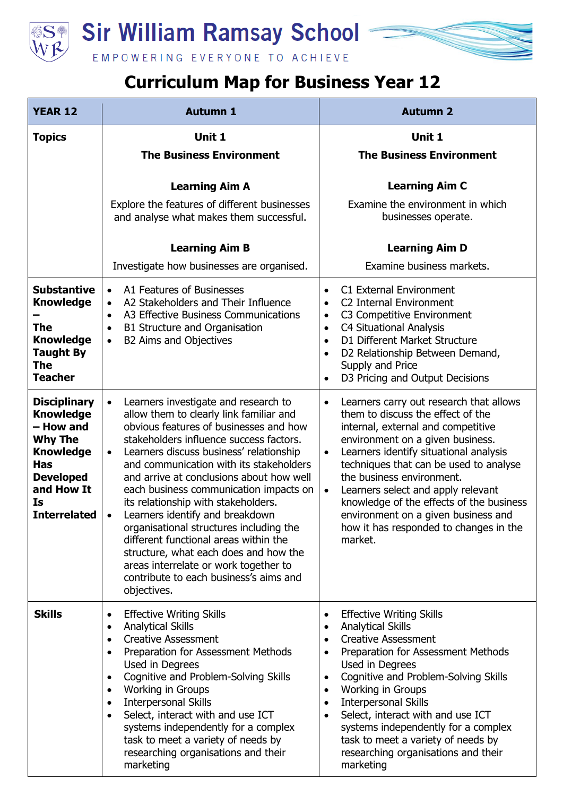

**Sir William Ramsay School** 

EMPOWERING EVERYONE TO ACHIEVE

## **Curriculum Map for Business Year 12**

| <b>YEAR 12</b>                                                                                                                                                          | <b>Autumn 1</b>                                                                                                                                                                                                                                                                                                                                                                                                                                                                                                                                                                                                                                                                                  | <b>Autumn 2</b>                                                                                                                                                                                                                                                                                                                                                                                                                                                                                                      |
|-------------------------------------------------------------------------------------------------------------------------------------------------------------------------|--------------------------------------------------------------------------------------------------------------------------------------------------------------------------------------------------------------------------------------------------------------------------------------------------------------------------------------------------------------------------------------------------------------------------------------------------------------------------------------------------------------------------------------------------------------------------------------------------------------------------------------------------------------------------------------------------|----------------------------------------------------------------------------------------------------------------------------------------------------------------------------------------------------------------------------------------------------------------------------------------------------------------------------------------------------------------------------------------------------------------------------------------------------------------------------------------------------------------------|
| Topics                                                                                                                                                                  | Unit 1<br><b>The Business Environment</b>                                                                                                                                                                                                                                                                                                                                                                                                                                                                                                                                                                                                                                                        | Unit 1<br><b>The Business Environment</b>                                                                                                                                                                                                                                                                                                                                                                                                                                                                            |
|                                                                                                                                                                         | <b>Learning Aim A</b><br>Explore the features of different businesses<br>and analyse what makes them successful.<br><b>Learning Aim B</b><br>Investigate how businesses are organised.                                                                                                                                                                                                                                                                                                                                                                                                                                                                                                           | <b>Learning Aim C</b><br>Examine the environment in which<br>businesses operate.<br><b>Learning Aim D</b><br>Examine business markets.                                                                                                                                                                                                                                                                                                                                                                               |
| <b>Substantive</b><br><b>Knowledge</b><br>The<br><b>Knowledge</b><br><b>Taught By</b><br><b>The</b><br><b>Teacher</b>                                                   | A1 Features of Businesses<br>$\bullet$<br>A2 Stakeholders and Their Influence<br>$\bullet$<br>A3 Effective Business Communications<br>$\bullet$<br>B1 Structure and Organisation<br>$\bullet$<br>B2 Aims and Objectives<br>$\bullet$                                                                                                                                                                                                                                                                                                                                                                                                                                                             | C1 External Environment<br>$\bullet$<br>C2 Internal Environment<br>$\bullet$<br>C3 Competitive Environment<br>$\bullet$<br><b>C4 Situational Analysis</b><br>$\bullet$<br>D1 Different Market Structure<br>$\bullet$<br>D2 Relationship Between Demand,<br>$\bullet$<br>Supply and Price<br>D3 Pricing and Output Decisions<br>$\bullet$                                                                                                                                                                             |
| <b>Disciplinary</b><br><b>Knowledge</b><br>- How and<br><b>Why The</b><br><b>Knowledge</b><br><b>Has</b><br><b>Developed</b><br>and How It<br>Is<br><b>Interrelated</b> | Learners investigate and research to<br>$\bullet$<br>allow them to clearly link familiar and<br>obvious features of businesses and how<br>stakeholders influence success factors.<br>Learners discuss business' relationship<br>$\bullet$<br>and communication with its stakeholders<br>and arrive at conclusions about how well<br>each business communication impacts on<br>its relationship with stakeholders.<br>Learners identify and breakdown<br>$\bullet$<br>organisational structures including the<br>different functional areas within the<br>structure, what each does and how the<br>areas interrelate or work together to<br>contribute to each business's aims and<br>objectives. | Learners carry out research that allows<br>$\bullet$<br>them to discuss the effect of the<br>internal, external and competitive<br>environment on a given business.<br>Learners identify situational analysis<br>$\bullet$<br>techniques that can be used to analyse<br>the business environment.<br>Learners select and apply relevant<br>$\bullet$<br>knowledge of the effects of the business<br>environment on a given business and<br>how it has responded to changes in the<br>market.                         |
| <b>Skills</b>                                                                                                                                                           | <b>Effective Writing Skills</b><br>$\bullet$<br><b>Analytical Skills</b><br>$\bullet$<br><b>Creative Assessment</b><br>$\bullet$<br>Preparation for Assessment Methods<br>$\bullet$<br>Used in Degrees<br>Cognitive and Problem-Solving Skills<br>$\bullet$<br><b>Working in Groups</b><br>$\bullet$<br><b>Interpersonal Skills</b><br>$\bullet$<br>Select, interact with and use ICT<br>$\bullet$<br>systems independently for a complex<br>task to meet a variety of needs by<br>researching organisations and their<br>marketing                                                                                                                                                              | <b>Effective Writing Skills</b><br>$\bullet$<br><b>Analytical Skills</b><br>$\bullet$<br><b>Creative Assessment</b><br>$\bullet$<br>Preparation for Assessment Methods<br>$\bullet$<br>Used in Degrees<br>Cognitive and Problem-Solving Skills<br>٠<br>Working in Groups<br>$\bullet$<br><b>Interpersonal Skills</b><br>$\bullet$<br>Select, interact with and use ICT<br>$\bullet$<br>systems independently for a complex<br>task to meet a variety of needs by<br>researching organisations and their<br>marketing |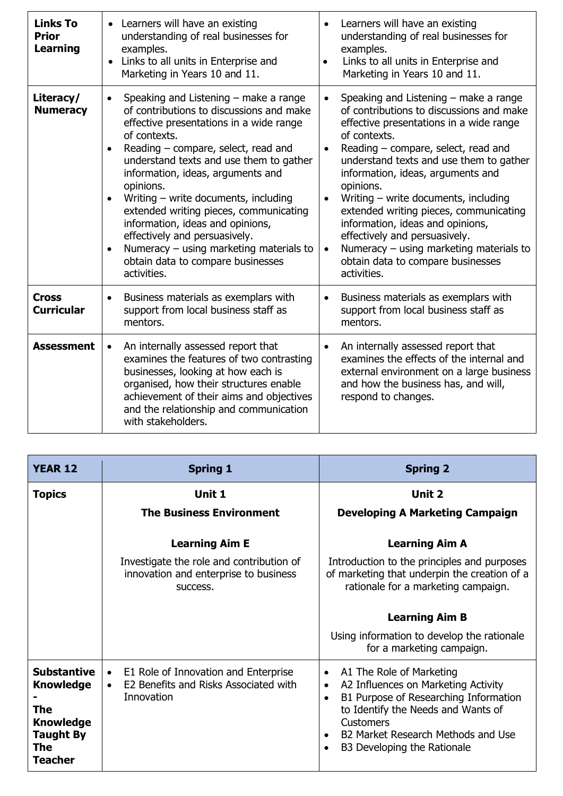| <b>Links To</b><br><b>Prior</b><br><b>Learning</b> | • Learners will have an existing<br>understanding of real businesses for<br>examples.<br>• Links to all units in Enterprise and<br>Marketing in Years 10 and 11.                                                                                                                                                                                                                                                                                                                                                                                                                | Learners will have an existing<br>$\bullet$<br>understanding of real businesses for<br>examples.<br>Links to all units in Enterprise and<br>Marketing in Years 10 and 11.                                                                                                                                                                                                                                                                                                                                                                                                                      |
|----------------------------------------------------|---------------------------------------------------------------------------------------------------------------------------------------------------------------------------------------------------------------------------------------------------------------------------------------------------------------------------------------------------------------------------------------------------------------------------------------------------------------------------------------------------------------------------------------------------------------------------------|------------------------------------------------------------------------------------------------------------------------------------------------------------------------------------------------------------------------------------------------------------------------------------------------------------------------------------------------------------------------------------------------------------------------------------------------------------------------------------------------------------------------------------------------------------------------------------------------|
| Literacy/<br><b>Numeracy</b>                       | Speaking and Listening $-$ make a range<br>$\bullet$<br>of contributions to discussions and make<br>effective presentations in a wide range<br>of contexts.<br>Reading – compare, select, read and<br>understand texts and use them to gather<br>information, ideas, arguments and<br>opinions.<br>Writing - write documents, including<br>$\bullet$<br>extended writing pieces, communicating<br>information, ideas and opinions,<br>effectively and persuasively.<br>Numeracy - using marketing materials to<br>$\bullet$<br>obtain data to compare businesses<br>activities. | Speaking and Listening $-$ make a range<br>$\bullet$<br>of contributions to discussions and make<br>effective presentations in a wide range<br>of contexts.<br>Reading – compare, select, read and<br>$\bullet$<br>understand texts and use them to gather<br>information, ideas, arguments and<br>opinions.<br>Writing - write documents, including<br>$\bullet$<br>extended writing pieces, communicating<br>information, ideas and opinions,<br>effectively and persuasively.<br>Numeracy $-$ using marketing materials to<br>$\bullet$<br>obtain data to compare businesses<br>activities. |
| <b>Cross</b><br><b>Curricular</b>                  | Business materials as exemplars with<br>$\bullet$<br>support from local business staff as<br>mentors.                                                                                                                                                                                                                                                                                                                                                                                                                                                                           | Business materials as exemplars with<br>$\bullet$<br>support from local business staff as<br>mentors.                                                                                                                                                                                                                                                                                                                                                                                                                                                                                          |
| <b>Assessment</b>                                  | An internally assessed report that<br>$\bullet$<br>examines the features of two contrasting<br>businesses, looking at how each is<br>organised, how their structures enable<br>achievement of their aims and objectives<br>and the relationship and communication<br>with stakeholders.                                                                                                                                                                                                                                                                                         | An internally assessed report that<br>$\bullet$<br>examines the effects of the internal and<br>external environment on a large business<br>and how the business has, and will,<br>respond to changes.                                                                                                                                                                                                                                                                                                                                                                                          |

| <b>YEAR 12</b>                                                                                                 | <b>Spring 1</b>                                                                                                       | <b>Spring 2</b>                                                                                                                                                                                                                                                         |
|----------------------------------------------------------------------------------------------------------------|-----------------------------------------------------------------------------------------------------------------------|-------------------------------------------------------------------------------------------------------------------------------------------------------------------------------------------------------------------------------------------------------------------------|
| Topics                                                                                                         | Unit 1                                                                                                                | Unit 2                                                                                                                                                                                                                                                                  |
|                                                                                                                | <b>The Business Environment</b>                                                                                       | <b>Developing A Marketing Campaign</b>                                                                                                                                                                                                                                  |
|                                                                                                                | <b>Learning Aim E</b>                                                                                                 | <b>Learning Aim A</b>                                                                                                                                                                                                                                                   |
|                                                                                                                | Investigate the role and contribution of<br>innovation and enterprise to business<br>SUCCESS.                         | Introduction to the principles and purposes<br>of marketing that underpin the creation of a<br>rationale for a marketing campaign.                                                                                                                                      |
|                                                                                                                |                                                                                                                       | <b>Learning Aim B</b>                                                                                                                                                                                                                                                   |
|                                                                                                                |                                                                                                                       | Using information to develop the rationale<br>for a marketing campaign.                                                                                                                                                                                                 |
| <b>Substantive</b><br><b>Knowledge</b><br>The<br><b>Knowledge</b><br><b>Taught By</b><br>The<br><b>Teacher</b> | E1 Role of Innovation and Enterprise<br>$\bullet$<br>E2 Benefits and Risks Associated with<br>$\bullet$<br>Innovation | A1 The Role of Marketing<br>A2 Influences on Marketing Activity<br>$\bullet$<br>B1 Purpose of Researching Information<br>$\bullet$<br>to Identify the Needs and Wants of<br>Customers<br>B2 Market Research Methods and Use<br>B3 Developing the Rationale<br>$\bullet$ |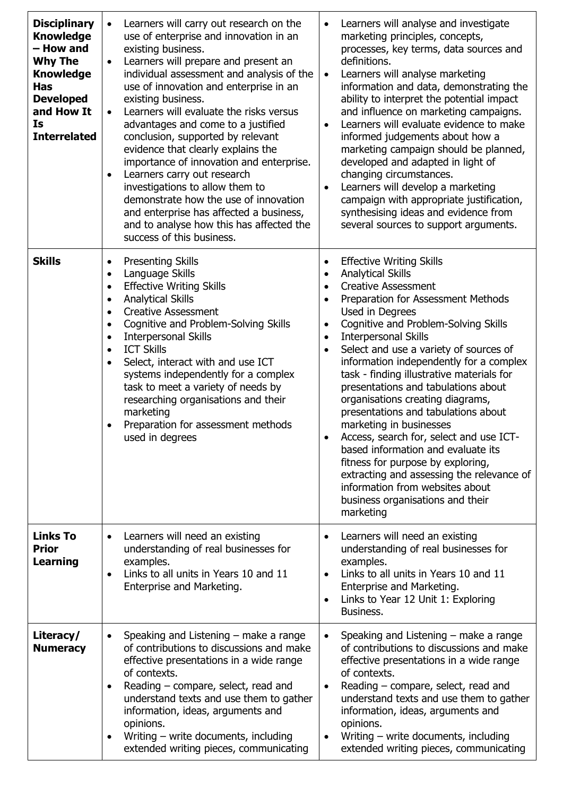| <b>Disciplinary</b><br><b>Knowledge</b><br>- How and<br><b>Why The</b><br><b>Knowledge</b><br><b>Has</b><br><b>Developed</b><br>and How It<br>Is<br><b>Interrelated</b> | Learners will carry out research on the<br>$\bullet$<br>use of enterprise and innovation in an<br>existing business.<br>Learners will prepare and present an<br>$\bullet$<br>individual assessment and analysis of the<br>use of innovation and enterprise in an<br>existing business.<br>Learners will evaluate the risks versus<br>$\bullet$<br>advantages and come to a justified<br>conclusion, supported by relevant<br>evidence that clearly explains the<br>importance of innovation and enterprise.<br>Learners carry out research<br>$\bullet$<br>investigations to allow them to<br>demonstrate how the use of innovation<br>and enterprise has affected a business,<br>and to analyse how this has affected the<br>success of this business. | Learners will analyse and investigate<br>$\bullet$<br>marketing principles, concepts,<br>processes, key terms, data sources and<br>definitions.<br>Learners will analyse marketing<br>$\bullet$<br>information and data, demonstrating the<br>ability to interpret the potential impact<br>and influence on marketing campaigns.<br>Learners will evaluate evidence to make<br>$\bullet$<br>informed judgements about how a<br>marketing campaign should be planned,<br>developed and adapted in light of<br>changing circumstances.<br>Learners will develop a marketing<br>$\bullet$<br>campaign with appropriate justification,<br>synthesising ideas and evidence from<br>several sources to support arguments.                                                                                                                                        |
|-------------------------------------------------------------------------------------------------------------------------------------------------------------------------|---------------------------------------------------------------------------------------------------------------------------------------------------------------------------------------------------------------------------------------------------------------------------------------------------------------------------------------------------------------------------------------------------------------------------------------------------------------------------------------------------------------------------------------------------------------------------------------------------------------------------------------------------------------------------------------------------------------------------------------------------------|------------------------------------------------------------------------------------------------------------------------------------------------------------------------------------------------------------------------------------------------------------------------------------------------------------------------------------------------------------------------------------------------------------------------------------------------------------------------------------------------------------------------------------------------------------------------------------------------------------------------------------------------------------------------------------------------------------------------------------------------------------------------------------------------------------------------------------------------------------|
| <b>Skills</b>                                                                                                                                                           | <b>Presenting Skills</b><br>$\bullet$<br>Language Skills<br>$\bullet$<br><b>Effective Writing Skills</b><br>$\bullet$<br><b>Analytical Skills</b><br>$\bullet$<br><b>Creative Assessment</b><br>$\bullet$<br>Cognitive and Problem-Solving Skills<br>$\bullet$<br><b>Interpersonal Skills</b><br>$\bullet$<br><b>ICT Skills</b><br>$\bullet$<br>Select, interact with and use ICT<br>$\bullet$<br>systems independently for a complex<br>task to meet a variety of needs by<br>researching organisations and their<br>marketing<br>Preparation for assessment methods<br>used in degrees                                                                                                                                                                | <b>Effective Writing Skills</b><br>$\bullet$<br><b>Analytical Skills</b><br>$\bullet$<br><b>Creative Assessment</b><br>$\bullet$<br>Preparation for Assessment Methods<br>$\bullet$<br>Used in Degrees<br>Cognitive and Problem-Solving Skills<br>$\bullet$<br><b>Interpersonal Skills</b><br>$\bullet$<br>Select and use a variety of sources of<br>$\bullet$<br>information independently for a complex<br>task - finding illustrative materials for<br>presentations and tabulations about<br>organisations creating diagrams,<br>presentations and tabulations about<br>marketing in businesses<br>Access, search for, select and use ICT-<br>based information and evaluate its<br>fitness for purpose by exploring,<br>extracting and assessing the relevance of<br>information from websites about<br>business organisations and their<br>marketing |
| <b>Links To</b><br><b>Prior</b><br>Learning                                                                                                                             | Learners will need an existing<br>$\bullet$<br>understanding of real businesses for<br>examples.<br>Links to all units in Years 10 and 11<br>Enterprise and Marketing.                                                                                                                                                                                                                                                                                                                                                                                                                                                                                                                                                                                  | Learners will need an existing<br>$\bullet$<br>understanding of real businesses for<br>examples.<br>Links to all units in Years 10 and 11<br>Enterprise and Marketing.<br>Links to Year 12 Unit 1: Exploring<br>$\bullet$<br>Business.                                                                                                                                                                                                                                                                                                                                                                                                                                                                                                                                                                                                                     |
| Literacy/<br><b>Numeracy</b>                                                                                                                                            | Speaking and Listening $-$ make a range<br>of contributions to discussions and make<br>effective presentations in a wide range<br>of contexts.<br>Reading – compare, select, read and<br>understand texts and use them to gather<br>information, ideas, arguments and<br>opinions.<br>Writing $-$ write documents, including<br>$\bullet$<br>extended writing pieces, communicating                                                                                                                                                                                                                                                                                                                                                                     | Speaking and Listening $-$ make a range<br>$\bullet$<br>of contributions to discussions and make<br>effective presentations in a wide range<br>of contexts.<br>Reading – compare, select, read and<br>$\bullet$<br>understand texts and use them to gather<br>information, ideas, arguments and<br>opinions.<br>Writing - write documents, including<br>$\bullet$<br>extended writing pieces, communicating                                                                                                                                                                                                                                                                                                                                                                                                                                                |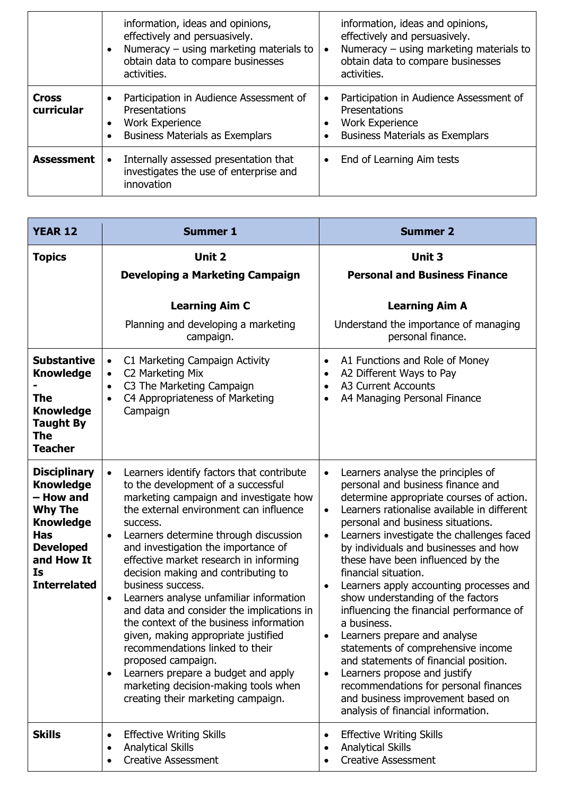|                            | information, ideas and opinions,<br>effectively and persuasively.<br>Numeracy $-$ using marketing materials to<br>$\bullet$<br>obtain data to compare businesses<br>activities. | information, ideas and opinions,<br>effectively and persuasively.<br>Numeracy $-$ using marketing materials to<br>$\bullet$<br>obtain data to compare businesses<br>activities. |
|----------------------------|---------------------------------------------------------------------------------------------------------------------------------------------------------------------------------|---------------------------------------------------------------------------------------------------------------------------------------------------------------------------------|
| <b>Cross</b><br>curricular | Participation in Audience Assessment of<br>$\bullet$<br>Presentations<br><b>Work Experience</b><br>٠<br><b>Business Materials as Exemplars</b><br>$\bullet$                     | Participation in Audience Assessment of<br>Presentations<br><b>Work Experience</b><br>$\bullet$<br><b>Business Materials as Exemplars</b>                                       |
| <b>Assessment</b>          | Internally assessed presentation that<br>$\bullet$<br>investigates the use of enterprise and<br>innovation                                                                      | End of Learning Aim tests<br>$\bullet$                                                                                                                                          |

| <b>YEAR 12</b>                                                                                                                                                          | <b>Summer 1</b>                                                                                                                                                                                                                                                                                                                                                                                                                                                                                                                                                                                                                                                                                                                                                           | <b>Summer 2</b>                                                                                                                                                                                                                                                                                                                                                                                                                                                                                                                                                                                                                                                                                                                                                                                                                                        |
|-------------------------------------------------------------------------------------------------------------------------------------------------------------------------|---------------------------------------------------------------------------------------------------------------------------------------------------------------------------------------------------------------------------------------------------------------------------------------------------------------------------------------------------------------------------------------------------------------------------------------------------------------------------------------------------------------------------------------------------------------------------------------------------------------------------------------------------------------------------------------------------------------------------------------------------------------------------|--------------------------------------------------------------------------------------------------------------------------------------------------------------------------------------------------------------------------------------------------------------------------------------------------------------------------------------------------------------------------------------------------------------------------------------------------------------------------------------------------------------------------------------------------------------------------------------------------------------------------------------------------------------------------------------------------------------------------------------------------------------------------------------------------------------------------------------------------------|
| <b>Topics</b>                                                                                                                                                           | Unit 2<br><b>Developing a Marketing Campaign</b>                                                                                                                                                                                                                                                                                                                                                                                                                                                                                                                                                                                                                                                                                                                          | Unit 3<br><b>Personal and Business Finance</b>                                                                                                                                                                                                                                                                                                                                                                                                                                                                                                                                                                                                                                                                                                                                                                                                         |
|                                                                                                                                                                         | <b>Learning Aim C</b><br>Planning and developing a marketing<br>campaign.                                                                                                                                                                                                                                                                                                                                                                                                                                                                                                                                                                                                                                                                                                 | <b>Learning Aim A</b><br>Understand the importance of managing<br>personal finance.                                                                                                                                                                                                                                                                                                                                                                                                                                                                                                                                                                                                                                                                                                                                                                    |
| <b>Substantive</b><br><b>Knowledge</b><br><b>The</b><br><b>Knowledge</b><br><b>Taught By</b><br><b>The</b><br><b>Teacher</b>                                            | C1 Marketing Campaign Activity<br>$\bullet$<br>C2 Marketing Mix<br>$\bullet$<br>C3 The Marketing Campaign<br>$\bullet$<br>C4 Appropriateness of Marketing<br>$\bullet$<br>Campaign                                                                                                                                                                                                                                                                                                                                                                                                                                                                                                                                                                                        | A1 Functions and Role of Money<br>$\bullet$<br>A2 Different Ways to Pay<br>$\bullet$<br><b>A3 Current Accounts</b><br>$\bullet$<br>A4 Managing Personal Finance<br>$\bullet$                                                                                                                                                                                                                                                                                                                                                                                                                                                                                                                                                                                                                                                                           |
| <b>Disciplinary</b><br><b>Knowledge</b><br>- How and<br><b>Why The</b><br><b>Knowledge</b><br><b>Has</b><br><b>Developed</b><br>and How It<br>Is<br><b>Interrelated</b> | Learners identify factors that contribute<br>$\bullet$<br>to the development of a successful<br>marketing campaign and investigate how<br>the external environment can influence<br>success.<br>Learners determine through discussion<br>$\bullet$<br>and investigation the importance of<br>effective market research in informing<br>decision making and contributing to<br>business success.<br>Learners analyse unfamiliar information<br>$\bullet$<br>and data and consider the implications in<br>the context of the business information<br>given, making appropriate justified<br>recommendations linked to their<br>proposed campaign.<br>Learners prepare a budget and apply<br>٠<br>marketing decision-making tools when<br>creating their marketing campaign. | Learners analyse the principles of<br>$\bullet$<br>personal and business finance and<br>determine appropriate courses of action.<br>Learners rationalise available in different<br>$\bullet$<br>personal and business situations.<br>Learners investigate the challenges faced<br>$\bullet$<br>by individuals and businesses and how<br>these have been influenced by the<br>financial situation.<br>Learners apply accounting processes and<br>$\bullet$<br>show understanding of the factors<br>influencing the financial performance of<br>a business.<br>Learners prepare and analyse<br>$\bullet$<br>statements of comprehensive income<br>and statements of financial position.<br>Learners propose and justify<br>$\bullet$<br>recommendations for personal finances<br>and business improvement based on<br>analysis of financial information. |
| <b>Skills</b>                                                                                                                                                           | <b>Effective Writing Skills</b><br><b>Analytical Skills</b><br><b>Creative Assessment</b>                                                                                                                                                                                                                                                                                                                                                                                                                                                                                                                                                                                                                                                                                 | <b>Effective Writing Skills</b><br>$\bullet$<br><b>Analytical Skills</b><br><b>Creative Assessment</b>                                                                                                                                                                                                                                                                                                                                                                                                                                                                                                                                                                                                                                                                                                                                                 |